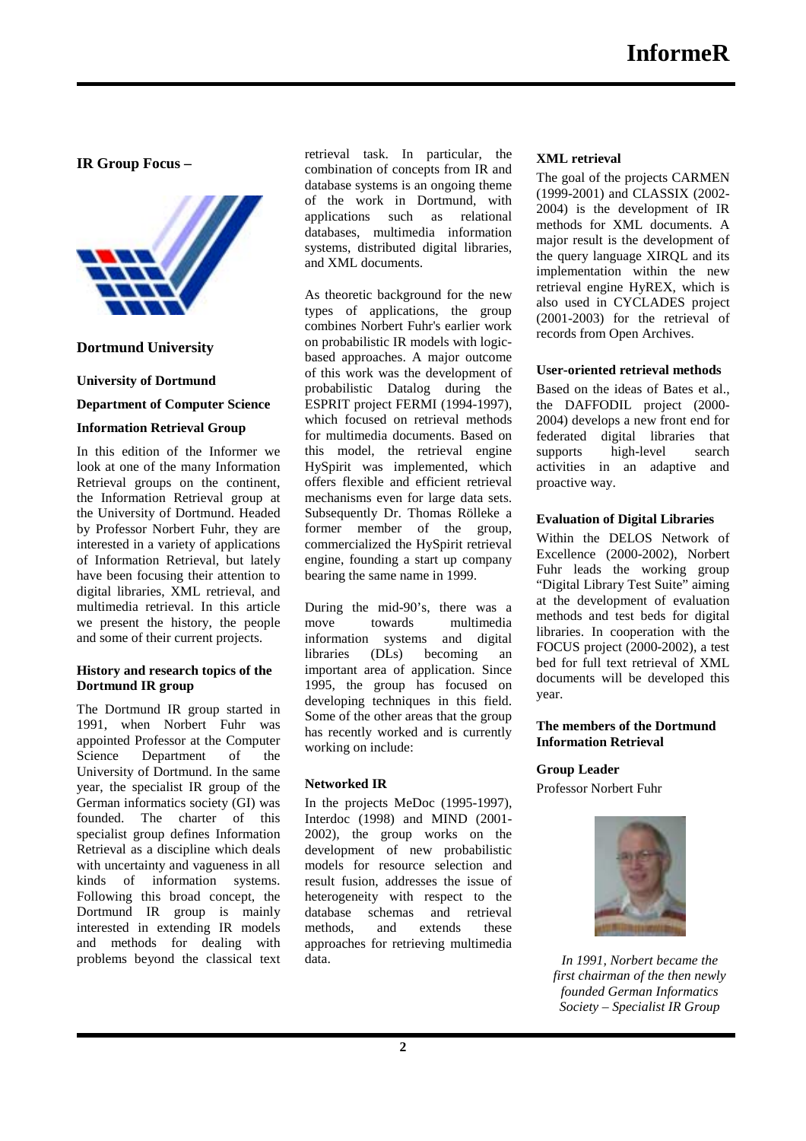**IR Group Focus –** 

Ī



# **Dortmund University**

### **University of Dortmund**

### **Department of Computer Science**

## **Information Retrieval Group**

In this edition of the Informer we look at one of the many Information Retrieval groups on the continent, the Information Retrieval group at the University of Dortmund. Headed by Professor Norbert Fuhr, they are interested in a variety of applications of Information Retrieval, but lately have been focusing their attention to digital libraries, XML retrieval, and multimedia retrieval. In this article we present the history, the people and some of their current projects.

#### **History and research topics of the Dortmund IR group**

The Dortmund IR group started in 1991, when Norbert Fuhr was appointed Professor at the Computer Science Department of the University of Dortmund. In the same year, the specialist IR group of the German informatics society (GI) was founded. The charter of this specialist group defines Information Retrieval as a discipline which deals with uncertainty and vagueness in all kinds of information systems. Following this broad concept, the Dortmund IR group is mainly interested in extending IR models and methods for dealing with problems beyond the classical text retrieval task. In particular, the combination of concepts from IR and database systems is an ongoing theme of the work in Dortmund, with applications such as relational databases, multimedia information systems, distributed digital libraries, and XML documents.

As theoretic background for the new types of applications, the group combines Norbert Fuhr's earlier work on probabilistic IR models with logicbased approaches. A major outcome of this work was the development of probabilistic Datalog during the ESPRIT project FERMI (1994-1997), which focused on retrieval methods for multimedia documents. Based on this model, the retrieval engine HySpirit was implemented, which offers flexible and efficient retrieval mechanisms even for large data sets. Subsequently Dr. Thomas Rölleke a former member of the group, commercialized the HySpirit retrieval engine, founding a start up company bearing the same name in 1999.

During the mid-90's, there was a move towards multimedia information systems and digital libraries (DLs) becoming an important area of application. Since 1995, the group has focused on developing techniques in this field. Some of the other areas that the group has recently worked and is currently working on include:

# **Networked IR**

In the projects MeDoc (1995-1997), Interdoc (1998) and MIND (2001- 2002), the group works on the development of new probabilistic models for resource selection and result fusion, addresses the issue of heterogeneity with respect to the database schemas and retrieval methods, and extends these approaches for retrieving multimedia data.

### **XML retrieval**

The goal of the projects CARMEN (1999-2001) and CLASSIX (2002- 2004) is the development of IR methods for XML documents. A major result is the development of the query language XIRQL and its implementation within the new retrieval engine HyREX, which is also used in CYCLADES project (2001-2003) for the retrieval of records from Open Archives.

### **User-oriented retrieval methods**

Based on the ideas of Bates et al., the DAFFODIL project (2000- 2004) develops a new front end for federated digital libraries that supports high-level search activities in an adaptive and proactive way.

### **Evaluation of Digital Libraries**

Within the DELOS Network of Excellence (2000-2002), Norbert Fuhr leads the working group "Digital Library Test Suite" aiming at the development of evaluation methods and test beds for digital libraries. In cooperation with the FOCUS project (2000-2002), a test bed for full text retrieval of XML documents will be developed this year.

### **The members of the Dortmund Information Retrieval**

# **Group Leader**

Professor Norbert Fuhr



*In 1991, Norbert became the first chairman of the then newly founded German Informatics Society – Specialist IR Group*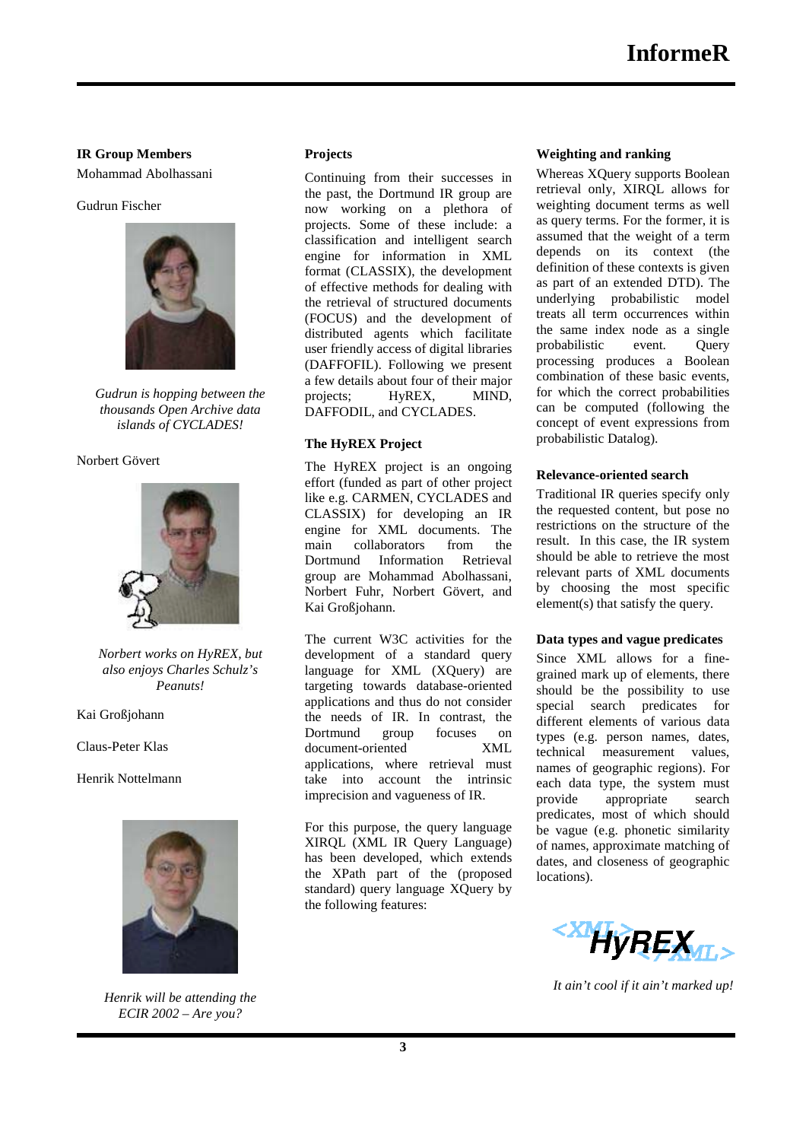### **IR Group Members**

Mohammad Abolhassani

### Gudrun Fischer

Ī



*Gudrun is hopping between the thousands Open Archive data islands of CYCLADES!* 

#### Norbert Gövert



*Norbert works on HyREX, but also enjoys Charles Schulz's Peanuts!* 

Kai Großjohann

Claus-Peter Klas

Henrik Nottelmann



*Henrik will be attending the ECIR 2002 – Are you?* 

# **Projects**

Continuing from their successes in the past, the Dortmund IR group are now working on a plethora of projects. Some of these include: a classification and intelligent search engine for information in XML format (CLASSIX), the development of effective methods for dealing with the retrieval of structured documents (FOCUS) and the development of distributed agents which facilitate user friendly access of digital libraries (DAFFOFIL). Following we present a few details about four of their major projects; HyREX, MIND, DAFFODIL, and CYCLADES.

#### **The HyREX Project**

The HyREX project is an ongoing effort (funded as part of other project like e.g. CARMEN, CYCLADES and CLASSIX) for developing an IR engine for XML documents. The main collaborators from the Dortmund Information Retrieval group are Mohammad Abolhassani, Norbert Fuhr, Norbert Gövert, and Kai Großjohann.

The current W3C activities for the development of a standard query language for XML (XQuery) are targeting towards database-oriented applications and thus do not consider the needs of IR. In contrast, the Dortmund group focuses on document-oriented XML applications, where retrieval must take into account the intrinsic imprecision and vagueness of IR.

For this purpose, the query language XIRQL (XML IR Query Language) has been developed, which extends the XPath part of the (proposed standard) query language XQuery by the following features:

#### **Weighting and ranking**

Whereas XQuery supports Boolean retrieval only, XIRQL allows for weighting document terms as well as query terms. For the former, it is assumed that the weight of a term depends on its context (the definition of these contexts is given as part of an extended DTD). The underlying probabilistic model treats all term occurrences within the same index node as a single probabilistic event. Query processing produces a Boolean combination of these basic events, for which the correct probabilities can be computed (following the concept of event expressions from probabilistic Datalog).

#### **Relevance-oriented search**

Traditional IR queries specify only the requested content, but pose no restrictions on the structure of the result. In this case, the IR system should be able to retrieve the most relevant parts of XML documents by choosing the most specific element(s) that satisfy the query.

#### **Data types and vague predicates**

Since XML allows for a finegrained mark up of elements, there should be the possibility to use special search predicates for different elements of various data types (e.g. person names, dates, technical measurement values, names of geographic regions). For each data type, the system must provide appropriate search predicates, most of which should be vague (e.g. phonetic similarity of names, approximate matching of dates, and closeness of geographic locations).



*It ain't cool if it ain't marked up!*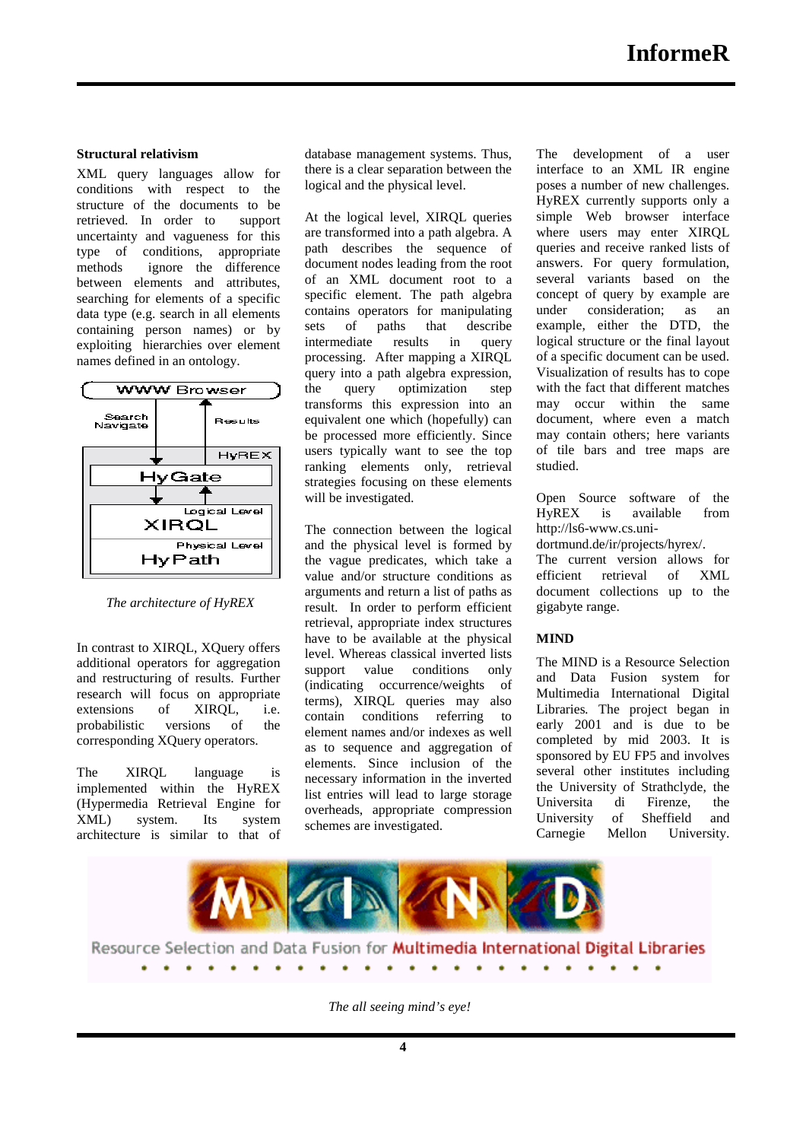### **Structural relativism**

Ī

XML query languages allow for conditions with respect to the structure of the documents to be retrieved. In order to support uncertainty and vagueness for this type of conditions, appropriate methods ignore the difference between elements and attributes, searching for elements of a specific data type (e.g. search in all elements containing person names) or by exploiting hierarchies over element names defined in an ontology.



*The architecture of HyREX* 

In contrast to XIRQL, XQuery offers additional operators for aggregation and restructuring of results. Further research will focus on appropriate extensions of XIRQL, i.e. probabilistic versions of the corresponding XQuery operators.

The XIRQL language is implemented within the HyREX (Hypermedia Retrieval Engine for XML) system. Its system architecture is similar to that of database management systems. Thus, there is a clear separation between the logical and the physical level.

At the logical level, XIRQL queries are transformed into a path algebra. A path describes the sequence of document nodes leading from the root of an XML document root to a specific element. The path algebra contains operators for manipulating sets of paths that describe intermediate results in query processing. After mapping a XIRQL query into a path algebra expression, the query optimization step transforms this expression into an equivalent one which (hopefully) can be processed more efficiently. Since users typically want to see the top ranking elements only, retrieval strategies focusing on these elements will be investigated.

The connection between the logical and the physical level is formed by the vague predicates, which take a value and/or structure conditions as arguments and return a list of paths as result. In order to perform efficient retrieval, appropriate index structures have to be available at the physical level. Whereas classical inverted lists support value conditions only (indicating occurrence/weights of terms), XIRQL queries may also contain conditions referring to element names and/or indexes as well as to sequence and aggregation of elements. Since inclusion of the necessary information in the inverted list entries will lead to large storage overheads, appropriate compression schemes are investigated.

The development of a user interface to an XML IR engine poses a number of new challenges. HyREX currently supports only a simple Web browser interface where users may enter XIROL queries and receive ranked lists of answers. For query formulation, several variants based on the concept of query by example are under consideration; as an example, either the DTD, the logical structure or the final layout of a specific document can be used. Visualization of results has to cope with the fact that different matches may occur within the same document, where even a match may contain others; here variants of tile bars and tree maps are studied.

Open Source software of the HyREX is available from http://ls6-www.cs.uni-

dortmund.de/ir/projects/hyrex/.

The current version allows for efficient retrieval of XML document collections up to the gigabyte range.

# **MIND**

The MIND is a Resource Selection and Data Fusion system for Multimedia International Digital Libraries*.* The project began in early 2001 and is due to be completed by mid 2003. It is sponsored by EU FP5 and involves several other institutes including the University of Strathclyde, the Universita di Firenze, the University of Sheffield and Carnegie Mellon University.



*The all seeing mind's eye!*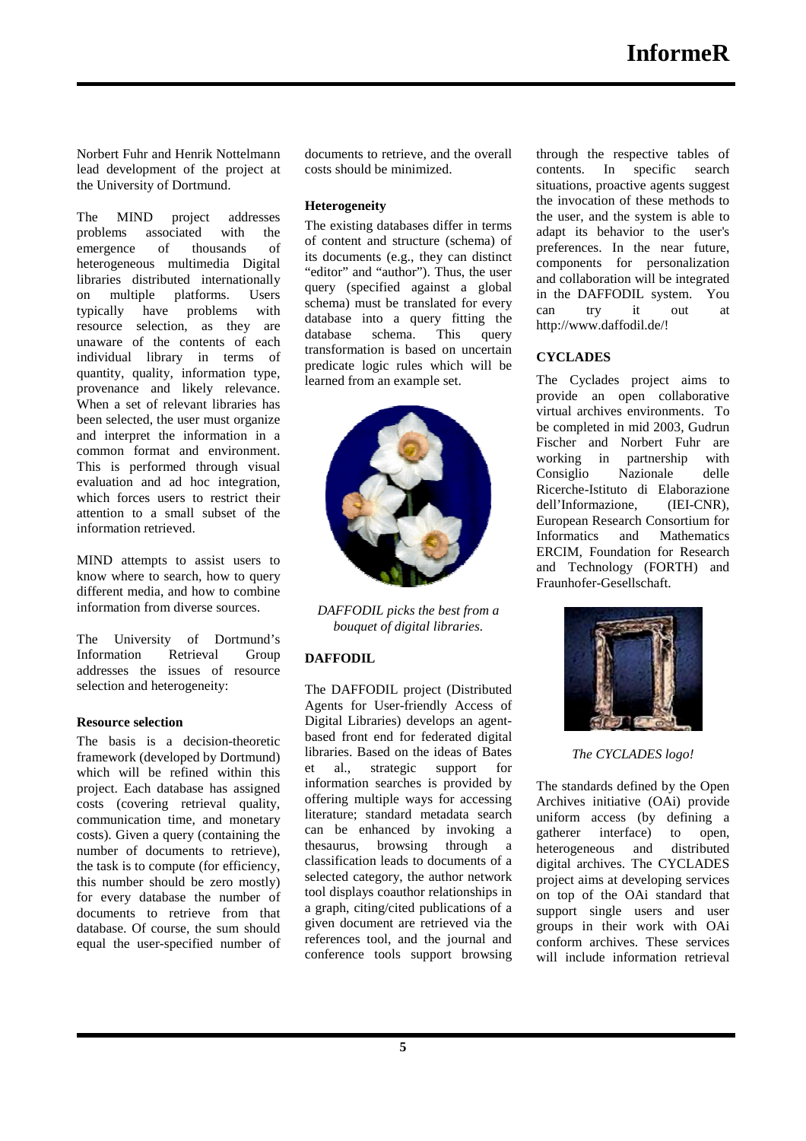Norbert Fuhr and Henrik Nottelmann lead development of the project at the University of Dortmund.

Ī

The MIND project addresses problems associated with the<br>emergence of thousands of emergence of thousands of heterogeneous multimedia Digital libraries distributed internationally on multiple platforms. Users typically have problems with resource selection, as they are unaware of the contents of each individual library in terms of quantity, quality, information type, provenance and likely relevance. When a set of relevant libraries has been selected, the user must organize and interpret the information in a common format and environment. This is performed through visual evaluation and ad hoc integration, which forces users to restrict their attention to a small subset of the information retrieved.

MIND attempts to assist users to know where to search, how to query different media, and how to combine information from diverse sources.

The University of Dortmund's Information Retrieval Group addresses the issues of resource selection and heterogeneity:

### **Resource selection**

The basis is a decision-theoretic framework (developed by Dortmund) which will be refined within this project. Each database has assigned costs (covering retrieval quality, communication time, and monetary costs). Given a query (containing the number of documents to retrieve), the task is to compute (for efficiency, this number should be zero mostly) for every database the number of documents to retrieve from that database. Of course, the sum should equal the user-specified number of documents to retrieve, and the overall costs should be minimized.

## **Heterogeneity**

The existing databases differ in terms of content and structure (schema) of its documents (e.g., they can distinct "editor" and "author"). Thus, the user query (specified against a global schema) must be translated for every database into a query fitting the database schema. This query transformation is based on uncertain predicate logic rules which will be learned from an example set.



*DAFFODIL picks the best from a bouquet of digital libraries.* 

# **DAFFODIL**

The DAFFODIL project (Distributed Agents for User-friendly Access of Digital Libraries) develops an agentbased front end for federated digital libraries. Based on the ideas of Bates et al., strategic support for information searches is provided by offering multiple ways for accessing literature; standard metadata search can be enhanced by invoking a thesaurus, browsing through a classification leads to documents of a selected category, the author network tool displays coauthor relationships in a graph, citing/cited publications of a given document are retrieved via the references tool, and the journal and conference tools support browsing through the respective tables of contents. In specific search situations, proactive agents suggest the invocation of these methods to the user, and the system is able to adapt its behavior to the user's preferences. In the near future, components for personalization and collaboration will be integrated in the DAFFODIL system. You can try it out at http://www.daffodil.de/!

# **CYCLADES**

The Cyclades project aims to provide an open collaborative virtual archives environments. To be completed in mid 2003, Gudrun Fischer and Norbert Fuhr are working in partnership with Consiglio Nazionale delle Ricerche-Istituto di Elaborazione dell'Informazione, (IEI-CNR), European Research Consortium for Informatics and Mathematics ERCIM, Foundation for Research and Technology (FORTH) and Fraunhofer-Gesellschaft.



*The CYCLADES logo!* 

The standards defined by the Open Archives initiative (OAi) provide uniform access (by defining a gatherer interface) to open, heterogeneous and distributed digital archives. The CYCLADES project aims at developing services on top of the OAi standard that support single users and user groups in their work with OAi conform archives. These services will include information retrieval